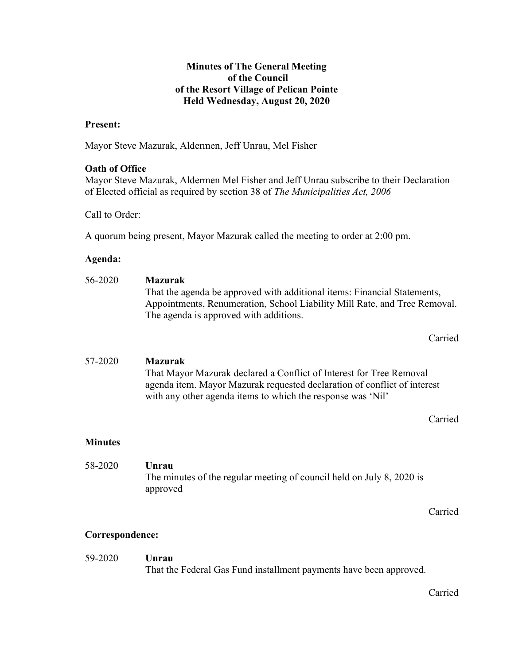## Minutes of The General Meeting of the Council of the Resort Village of Pelican Pointe Held Wednesday, August 20, 2020

#### Present:

Mayor Steve Mazurak, Aldermen, Jeff Unrau, Mel Fisher

## Oath of Office

Mayor Steve Mazurak, Aldermen Mel Fisher and Jeff Unrau subscribe to their Declaration of Elected official as required by section 38 of The Municipalities Act, 2006

Call to Order:

A quorum being present, Mayor Mazurak called the meeting to order at 2:00 pm.

#### Agenda:

| 56-2020        | <b>Mazurak</b><br>That the agenda be approved with additional items: Financial Statements,<br>Appointments, Renumeration, School Liability Mill Rate, and Tree Removal.<br>The agenda is approved with additions.                |
|----------------|----------------------------------------------------------------------------------------------------------------------------------------------------------------------------------------------------------------------------------|
|                | Carried                                                                                                                                                                                                                          |
| 57-2020        | <b>Mazurak</b><br>That Mayor Mazurak declared a Conflict of Interest for Tree Removal<br>agenda item. Mayor Mazurak requested declaration of conflict of interest<br>with any other agenda items to which the response was 'Nil' |
|                | Carried                                                                                                                                                                                                                          |
| <b>Minutes</b> |                                                                                                                                                                                                                                  |

 58-2020 Unrau The minutes of the regular meeting of council held on July 8, 2020 is approved

Carried

#### Correspondence:

#### 59-2020 Unrau

That the Federal Gas Fund installment payments have been approved.

Carried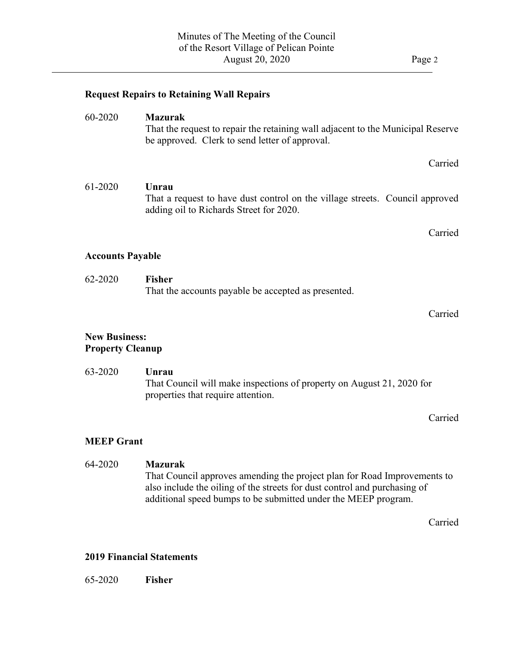$\overline{a}$ 

|                                                 | <b>Request Repairs to Retaining Wall Repairs</b>                                                                                                                                                                                          |
|-------------------------------------------------|-------------------------------------------------------------------------------------------------------------------------------------------------------------------------------------------------------------------------------------------|
| 60-2020                                         | <b>Mazurak</b><br>That the request to repair the retaining wall adjacent to the Municipal Reserve<br>be approved. Clerk to send letter of approval.                                                                                       |
|                                                 | Carried                                                                                                                                                                                                                                   |
| 61-2020                                         | Unrau<br>That a request to have dust control on the village streets. Council approved<br>adding oil to Richards Street for 2020.                                                                                                          |
|                                                 | Carried                                                                                                                                                                                                                                   |
| <b>Accounts Payable</b>                         |                                                                                                                                                                                                                                           |
| 62-2020                                         | <b>Fisher</b><br>That the accounts payable be accepted as presented.                                                                                                                                                                      |
|                                                 | Carried                                                                                                                                                                                                                                   |
| <b>New Business:</b><br><b>Property Cleanup</b> |                                                                                                                                                                                                                                           |
| 63-2020                                         | Unrau<br>That Council will make inspections of property on August 21, 2020 for<br>properties that require attention.                                                                                                                      |
|                                                 | Carried                                                                                                                                                                                                                                   |
| <b>MEEP Grant</b>                               |                                                                                                                                                                                                                                           |
| 64-2020                                         | <b>Mazurak</b><br>That Council approves amending the project plan for Road Improvements to<br>also include the oiling of the streets for dust control and purchasing of<br>additional speed bumps to be submitted under the MEEP program. |

Carried

#### 2019 Financial Statements

65-2020 Fisher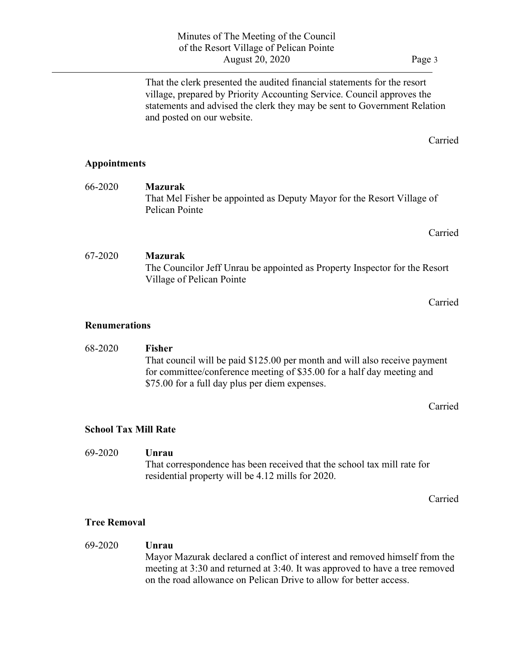That the clerk presented the audited financial statements for the resort village, prepared by Priority Accounting Service. Council approves the statements and advised the clerk they may be sent to Government Relation and posted on our website.

Appointments

 $\overline{a}$ 

- 66-2020 Mazurak That Mel Fisher be appointed as Deputy Mayor for the Resort Village of Pelican Pointe
- 67-2020 Mazurak The Councilor Jeff Unrau be appointed as Property Inspector for the Resort Village of Pelican Pointe

Carried

Carried

Carried

#### Renumerations

68-2020 Fisher That council will be paid \$125.00 per month and will also receive payment for committee/conference meeting of \$35.00 for a half day meeting and \$75.00 for a full day plus per diem expenses.

Carried

## School Tax Mill Rate

## 69-2020 Unrau

 That correspondence has been received that the school tax mill rate for residential property will be 4.12 mills for 2020.

Carried

## Tree Removal

69-2020 Unrau Mayor Mazurak declared a conflict of interest and removed himself from the meeting at 3:30 and returned at 3:40. It was approved to have a tree removed on the road allowance on Pelican Drive to allow for better access.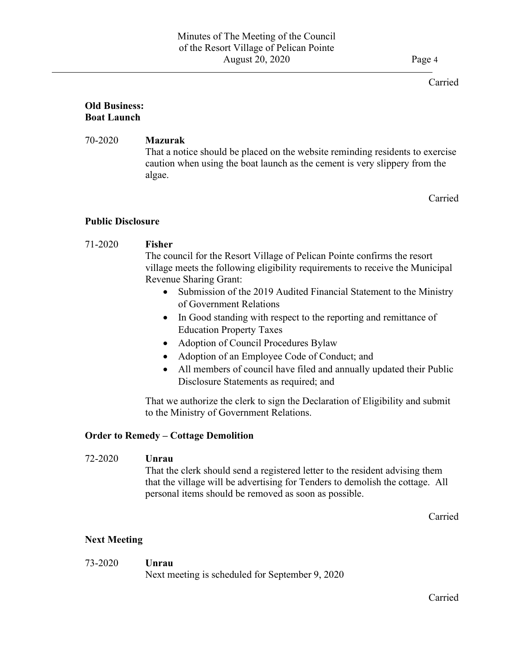#### Carried

#### Old Business: Boat Launch

## 70-2020 Mazurak

 $\overline{a}$ 

 That a notice should be placed on the website reminding residents to exercise caution when using the boat launch as the cement is very slippery from the algae.

Carried

## Public Disclosure

## 71-2020 Fisher

 The council for the Resort Village of Pelican Pointe confirms the resort village meets the following eligibility requirements to receive the Municipal Revenue Sharing Grant:

- Submission of the 2019 Audited Financial Statement to the Ministry of Government Relations
- In Good standing with respect to the reporting and remittance of Education Property Taxes
- Adoption of Council Procedures Bylaw
- Adoption of an Employee Code of Conduct; and
- All members of council have filed and annually updated their Public Disclosure Statements as required; and

That we authorize the clerk to sign the Declaration of Eligibility and submit to the Ministry of Government Relations.

## Order to Remedy – Cottage Demolition

#### 72-2020 Unrau

That the clerk should send a registered letter to the resident advising them that the village will be advertising for Tenders to demolish the cottage. All personal items should be removed as soon as possible.

Carried

## Next Meeting

## 73-2020 Unrau

Next meeting is scheduled for September 9, 2020

Carried